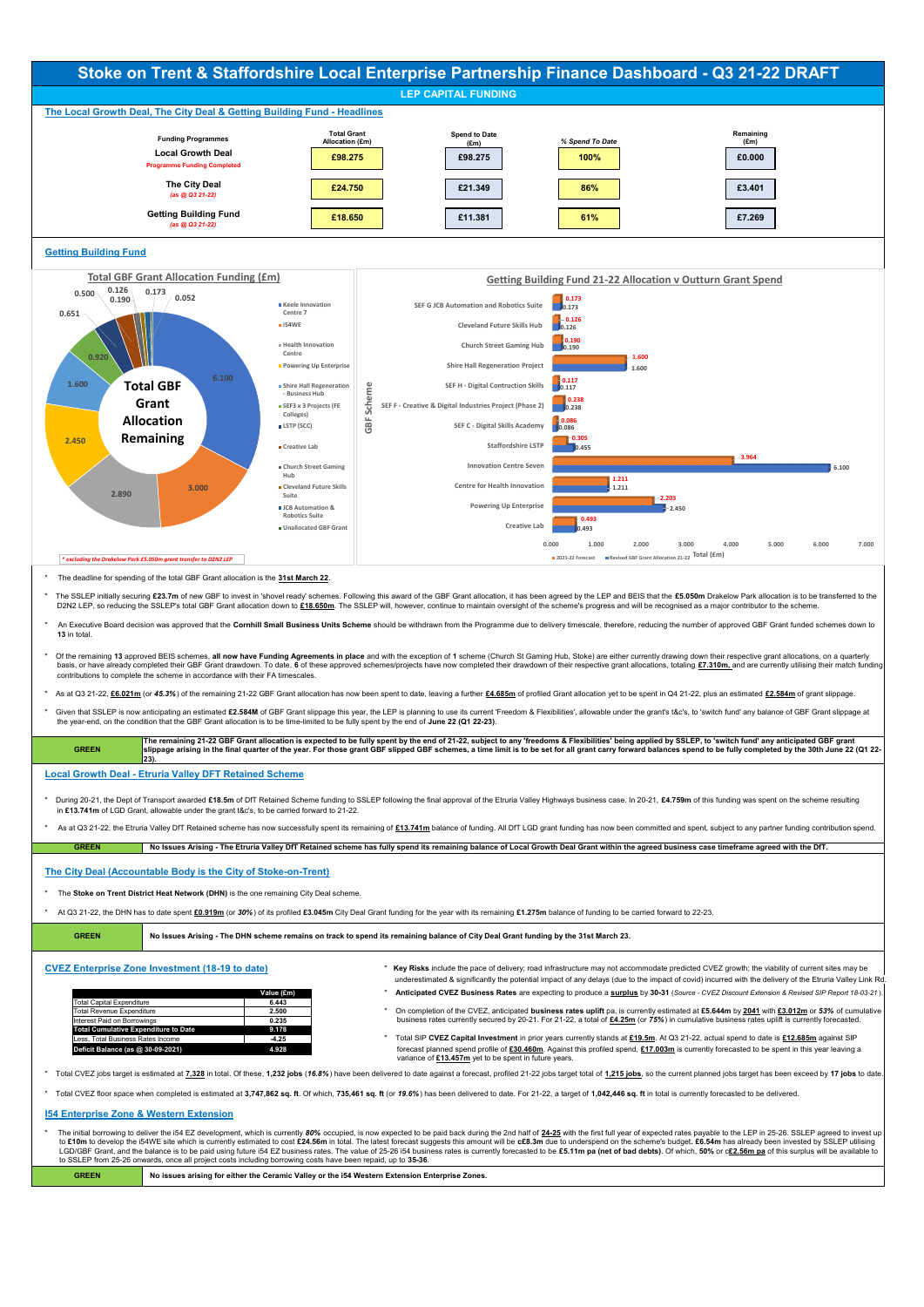CVEZ Enterprise Zone Investment (18-19 to date) **\* Key Risks** include the pace of delivery; road infrastructure may not accommodate predicted CVEZ growth; the viability of current sites may be underestimated & significantly the potential impact of any delays (due to the impact of covid) incurred with the delivery of the Etruria Valley Link Rd.

|                                             | Value (£m) |
|---------------------------------------------|------------|
| <b>Total Capital Expenditure</b>            | 6.443      |
| <b>Total Revenue Expenditure</b>            | 2.500      |
| Interest Paid on Borrowings                 | 0.235      |
| <b>Total Cumulative Expenditure to Date</b> | 9.178      |
| Less, Total Business Rates Income           | $-4.25$    |
| Deficit Balance (as @ 30-09-2021)           | 4.928      |

The initial borrowing to deliver the i54 EZ development, which is currently 80% occupied, is now expected to be paid back during the 2nd half of 24-25 with the first full year of expected rates payable to the LEP in 25-26. to £10m to develop the i54WE site which is currently estimated to cost £24.56m in total. The latest forecast suggests this amount will be c£8.3m due to underspend on the scheme's budget. £6.54m has already been invested by LGD/GBF Grant, and the balance is to be paid using future i54 EZ business rates. The value of 25-26 i54 business rates is currently forecasted to be £5.11m pa (net of bad debts). Of which, 50% or c£2.56m pa of this surplus to SSLEP from 25-26 onwards, once all project costs including borrowing costs have been repaid, up to **35-36**.

- **Value (£m)** \* **Anticipated CVEZ Business Rates** are expecting to produce a **surplus** by **30-31** (*Source CVEZ Discount Extension & Revised SIP Report 18-03-21* ).
- \* On completion of the CVEZ, anticipated business rates uplift pa, is currently estimated at £5.644m by 2041 with £3.012m or 53% of cumulative business rates currently secured by 20-21. For 21-22, a total of **£4.25m** (or 75%) in cumulative business rates uplift is currently forecasted.
- Less, Total Business Rates Income **-4.25** \* Total SIP **CVEZ Capital Investment** in prior years currently stands at **£19.5m**. At Q3 21-22, actual spend to date is **£12.685m** against SIP forecast planned spend profile of £30.460m. Against this profiled spend, £17.003m is currently forecasted to be spent in this year leaving a variance of **£13.457m** yet to be spent in future years.

\* Total CVEZ jobs target is estimated at 7.328 in total. Of these, 1,232 jobs (16.8%) have been delivered to date against a forecast, profiled 21-22 jobs target total of 1.215 jobs, so the current planned jobs target has b

\* Total CVEZ floor space when completed is estimated at 3,747,862 sq. ft. Of which, 735,461 sq. ft (or 19.6%) has been delivered to date. For 21-22, a target of 1,042,446 sq. ft in total is currently forecasted to be deliv

|                              |                                                                                            |                                                  | Stoke on Trent & Staffordshire Local Enterprise Partnership Finance Dashboard - Q3 21-22 DRAFT                                                                                                                               |                                                                                               |                                                                                                                                                                                                                                                                                                                                                                                                                                |
|------------------------------|--------------------------------------------------------------------------------------------|--------------------------------------------------|------------------------------------------------------------------------------------------------------------------------------------------------------------------------------------------------------------------------------|-----------------------------------------------------------------------------------------------|--------------------------------------------------------------------------------------------------------------------------------------------------------------------------------------------------------------------------------------------------------------------------------------------------------------------------------------------------------------------------------------------------------------------------------|
|                              |                                                                                            |                                                  | <b>LEP CAPITAL FUNDING</b>                                                                                                                                                                                                   |                                                                                               |                                                                                                                                                                                                                                                                                                                                                                                                                                |
|                              | The Local Growth Deal, The City Deal & Getting Building Fund - Headlines                   |                                                  |                                                                                                                                                                                                                              |                                                                                               |                                                                                                                                                                                                                                                                                                                                                                                                                                |
|                              | <b>Funding Programmes</b><br><b>Local Growth Deal</b>                                      | <b>Total Grant</b><br>Allocation (£m)<br>£98.275 | <b>Spend to Date</b><br>(f.m)<br>£98.275                                                                                                                                                                                     | % Spend To Date<br>100%                                                                       | Remaining<br>$(\text{Em})$<br>£0.000                                                                                                                                                                                                                                                                                                                                                                                           |
|                              | <b>Programme Funding Completed</b><br><b>The City Deal</b>                                 | £24.750                                          | £21.349                                                                                                                                                                                                                      | 86%                                                                                           | £3.401                                                                                                                                                                                                                                                                                                                                                                                                                         |
|                              | (as @ Q3 21-22)<br><b>Getting Building Fund</b>                                            |                                                  |                                                                                                                                                                                                                              |                                                                                               |                                                                                                                                                                                                                                                                                                                                                                                                                                |
|                              | (as @ Q3 21-22)                                                                            | £18.650                                          | £11.381                                                                                                                                                                                                                      | 61%                                                                                           | £7.269                                                                                                                                                                                                                                                                                                                                                                                                                         |
| <b>Getting Building Fund</b> |                                                                                            |                                                  |                                                                                                                                                                                                                              |                                                                                               |                                                                                                                                                                                                                                                                                                                                                                                                                                |
|                              | <b>Total GBF Grant Allocation Funding (£m)</b>                                             |                                                  |                                                                                                                                                                                                                              |                                                                                               | <b>Getting Building Fund 21-22 Allocation v Outturn Grant Spend</b>                                                                                                                                                                                                                                                                                                                                                            |
| $0.126 -$<br>0.500<br>0.190  | 0.173<br>0.052                                                                             | ■ Keele Innovation                               | SEF G JCB Automation and Robotics Suite                                                                                                                                                                                      | $-0.173$<br>0.173                                                                             |                                                                                                                                                                                                                                                                                                                                                                                                                                |
| 0.651                        |                                                                                            | Centre 7<br>$\blacksquare$ i54WE                 | <b>Cleveland Future Skills Hub</b>                                                                                                                                                                                           | $-0.126$<br>0.126                                                                             |                                                                                                                                                                                                                                                                                                                                                                                                                                |
|                              |                                                                                            | <b>E</b> Health Innovation                       | <b>Church Street Gaming Hub</b>                                                                                                                                                                                              | 0.190<br>0.190                                                                                |                                                                                                                                                                                                                                                                                                                                                                                                                                |
| 0.920                        |                                                                                            | Centre<br><b>Powering Up Enterprise</b>          | <b>Shire Hall Regeneration Project</b>                                                                                                                                                                                       | $-1.600$<br>1.600                                                                             |                                                                                                                                                                                                                                                                                                                                                                                                                                |
| 1.600                        | 6.100<br><b>Total GBF</b>                                                                  | Shire Hall Regeneration<br>- Business Hub        | SEF H - Digital Contruction Skills                                                                                                                                                                                           | 0.117<br>0.117                                                                                |                                                                                                                                                                                                                                                                                                                                                                                                                                |
|                              | Grant                                                                                      | SEF3 x 3 Projects (FE<br>Colleges)               | Scheme<br>SEF F - Creative & Digital Industries Project (Phase 2)                                                                                                                                                            | 0.238<br>0.238                                                                                |                                                                                                                                                                                                                                                                                                                                                                                                                                |
|                              | <b>Allocation</b>                                                                          | LSTP (SCC)                                       | GBF<br>SEF C - Digital Skills Academy                                                                                                                                                                                        | 0.086<br>0.086                                                                                |                                                                                                                                                                                                                                                                                                                                                                                                                                |
| 2.450                        | Remaining                                                                                  | Creative Lab                                     | <b>Staffordshire LSTP</b>                                                                                                                                                                                                    | $-0.305$<br>0.455                                                                             |                                                                                                                                                                                                                                                                                                                                                                                                                                |
|                              |                                                                                            | ■ Church Street Gaming<br>Hub                    | <b>Innovation Centre Seven</b>                                                                                                                                                                                               |                                                                                               | $-3.964$<br>6.100                                                                                                                                                                                                                                                                                                                                                                                                              |
| 2.890                        | 3.000                                                                                      | Cleveland Future Skills<br>Suite                 | <b>Centre for Health Innovation</b>                                                                                                                                                                                          | 1.211<br>1.211                                                                                | $-2.203$                                                                                                                                                                                                                                                                                                                                                                                                                       |
|                              |                                                                                            | <b>JCB</b> Automation &<br><b>Robotics Suite</b> | <b>Powering Up Enterprise</b>                                                                                                                                                                                                | 0.493                                                                                         | $-2.450$                                                                                                                                                                                                                                                                                                                                                                                                                       |
|                              |                                                                                            | ■ Unallocated GBF Grant                          | <b>Creative Lab</b>                                                                                                                                                                                                          |                                                                                               |                                                                                                                                                                                                                                                                                                                                                                                                                                |
|                              | * excluding the Drakelow Park £5.050m grant transfer to D2N2 LEP                           |                                                  |                                                                                                                                                                                                                              | 0.000<br>1.000<br>2.000<br>■ 2021-22 Forecast ■ Revised GBF Grant Allocation 21-22 Total (£m) | 3.000<br>4.000<br>5.000<br>6.000<br>7.000                                                                                                                                                                                                                                                                                                                                                                                      |
|                              | The deadline for spending of the total GBF Grant allocation is the 31st March 22.          |                                                  |                                                                                                                                                                                                                              |                                                                                               |                                                                                                                                                                                                                                                                                                                                                                                                                                |
|                              |                                                                                            |                                                  | D2N2 LEP, so reducing the SSLEP's total GBF Grant allocation down to £18.650m. The SSLEP will, however, continue to maintain oversight of the scheme's progress and will be recognised as a major contributor to the scheme. |                                                                                               | The SSLEP initially securing £23.7m of new GBF to invest in 'shovel ready' schemes. Following this award of the GBF Grant allocation, it has been agreed by the LEP and BEIS that the £5.050m Drakelow Park allocation is to b                                                                                                                                                                                                 |
| 13 in total.                 |                                                                                            |                                                  |                                                                                                                                                                                                                              |                                                                                               | An Executive Board decision was approved that the Cornhill Small Business Units Scheme should be withdrawn from the Programme due to delivery timescale, therefore, reducing the number of approved GBF Grant funded schemes d                                                                                                                                                                                                 |
|                              |                                                                                            |                                                  |                                                                                                                                                                                                                              |                                                                                               | Of the remaining 13 approved BEIS schemes, all now have Funding Agreements in place and with the exception of 1 scheme (Church St Gaming Hub, Stoke) are either currently drawing down their respective grant allocations, on                                                                                                                                                                                                  |
|                              | contributions to complete the scheme in accordance with their FA timescales.               |                                                  |                                                                                                                                                                                                                              |                                                                                               | basis, or have already completed their GBF Grant drawdown. To date, 6 of these approved schemes/projects have now completed their drawdown of their respective grant allocations, totaling £7.310m, and are currently utilisin                                                                                                                                                                                                 |
|                              |                                                                                            |                                                  |                                                                                                                                                                                                                              |                                                                                               | As at Q3 21-22, <b>£6.021m</b> (or 45.3%) of the remaining 21-22 GBF Grant allocation has now been spent to date, leaving a further £4.685m of profiled Grant allocation yet to be spent in Q4 21-22, plus an estimated £2.584m of                                                                                                                                                                                             |
|                              |                                                                                            |                                                  | the year-end, on the condition that the GBF Grant allocation is to be time-limited to be fully spent by the end of June 22 (Q1 22-23).                                                                                       |                                                                                               | Given that SSLEP is now anticipating an estimated £2.584M of GBF Grant slippage this year, the LEP is planning to use its current 'Freedom & Flexibilities', allowable under the grant's t&c's, to 'switch fund' any balance o                                                                                                                                                                                                 |
| <b>GREEN</b>                 |                                                                                            |                                                  |                                                                                                                                                                                                                              |                                                                                               | The remaining 21-22 GBF Grant allocation is expected to be fully spent by the end of 21-22, subject to any 'freedoms & Flexibilities' being applied by SSLEP, to 'switch fund' any anticipated GBF grant<br>Slippage arising in the final quarter of the year. For those grant GBF slipped GBF schemes, a time limit is to be set for all grant carry forward balances spend to be fully completed by the 30th June 22 (Q1 22- |
|                              | $ 23\rangle$ .<br><b>Local Growth Deal - Etruria Valley DFT Retained Scheme</b>            |                                                  |                                                                                                                                                                                                                              |                                                                                               |                                                                                                                                                                                                                                                                                                                                                                                                                                |
|                              | in £13.741m of LGD Grant, allowable under the grant t&c's, to be carried forward to 21-22. |                                                  |                                                                                                                                                                                                                              |                                                                                               | During 20-21, the Dept of Transport awarded £18.5m of DfT Retained Scheme funding to SSLEP following the final approval of the Etruria Valley Highways business case. In 20-21, £4.759m of this funding was spent on the schem                                                                                                                                                                                                 |
|                              |                                                                                            |                                                  |                                                                                                                                                                                                                              |                                                                                               | As at Q3 21-22, the Etruria Valley DfT Retained scheme has now successfully spent its remaining of £13.741m balance of funding. All DfT LGD grant funding has now been committed and spent, subject to any partner funding con                                                                                                                                                                                                 |
|                              |                                                                                            |                                                  | No Issues Arising - The Etruria Valley DfT Retained scheme has fully spend its remaining balance of Local Growth Deal Grant within the agreed business case timeframe agreed with the DfT.                                   |                                                                                               |                                                                                                                                                                                                                                                                                                                                                                                                                                |
| <b>GREEN</b>                 |                                                                                            |                                                  |                                                                                                                                                                                                                              |                                                                                               |                                                                                                                                                                                                                                                                                                                                                                                                                                |
|                              | The City Deal (Accountable Body is the City of Stoke-on-Trent)                             |                                                  |                                                                                                                                                                                                                              |                                                                                               |                                                                                                                                                                                                                                                                                                                                                                                                                                |
|                              | The Stoke on Trent District Heat Network (DHN) is the one remaining City Deal scheme.      |                                                  |                                                                                                                                                                                                                              |                                                                                               |                                                                                                                                                                                                                                                                                                                                                                                                                                |
|                              |                                                                                            |                                                  | At Q3 21-22, the DHN has to date spent £0.919m (or 30%) of its profiled £3.045m City Deal Grant funding for the year with its remaining £1.275m balance of funding to be carried forward to 22-23.                           |                                                                                               |                                                                                                                                                                                                                                                                                                                                                                                                                                |

## **I54 Enterprise Zone & Western Extension**

**GREEN No issues arising for either the Ceramic Valley or the i54 Western Extension Enterprise Zones.**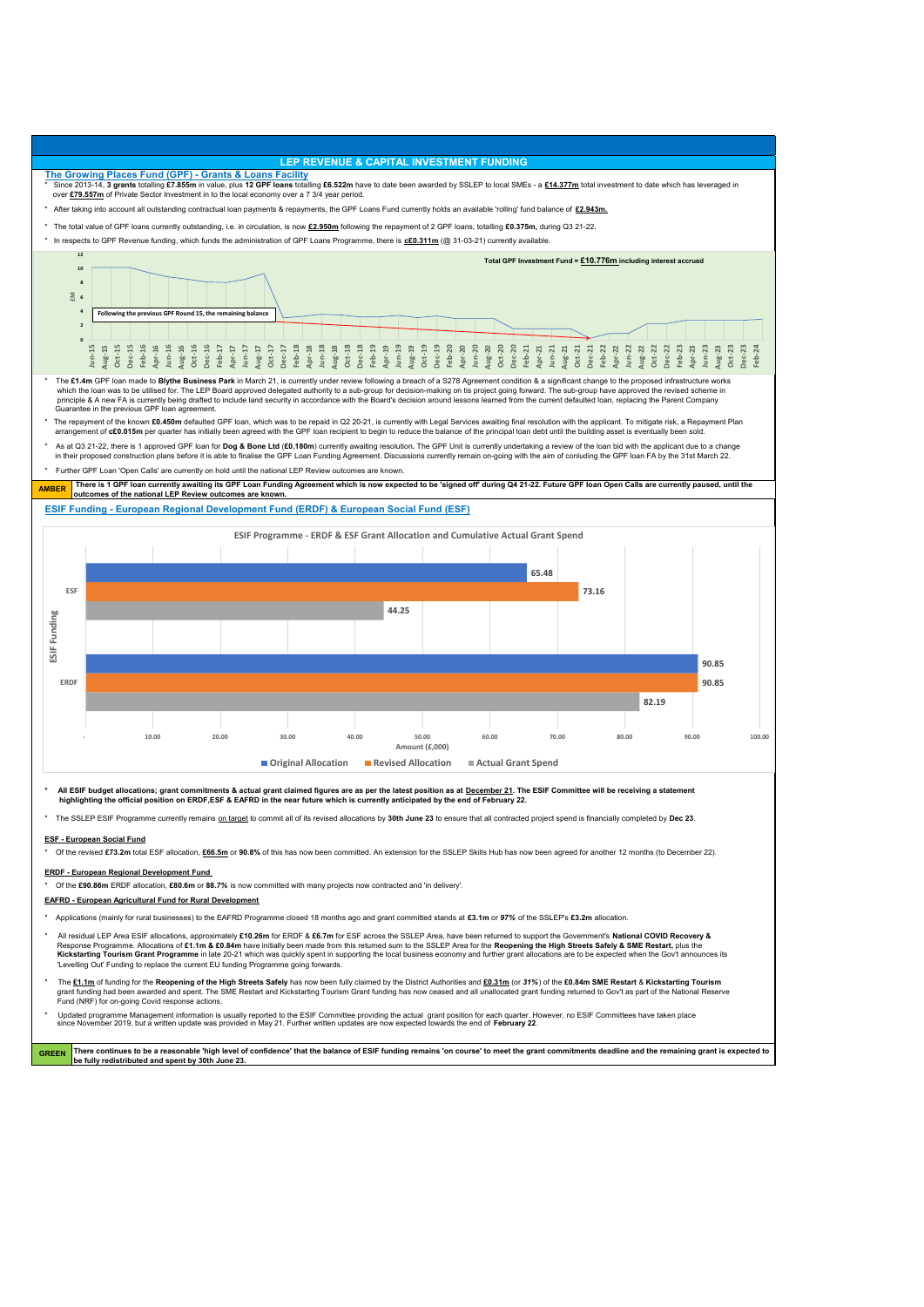- \* Applications (mainly for rural businesses) to the EAFRD Programme closed 18 months ago and grant committed stands at **£3.1m** or *97%* of the SSLEP's **£3.2m** allocation.
- \* All residual LEP Area ESIF allocations, approximately **£10.26m** for ERDF & **£6.7m** for ESF across the SSLEP Area, have been returned to support the Government's **National COVID Recovery &** Response Programme. Allocations of **£1.1m & £0.84m** have initially been made from this returned sum to the SSLEP Area for the **Reopening the High Streets Safely & SME Restart,** plus the **Kickstarting Tourism Grant Programme** in late 20-21 which was quickly spent in supporting the local business economy and further grant allocations are to be expected when the Gov't announces its 'Levelling Out' Funding to replace the current EU funding Programme going forwards.
- The £1.1m of funding for the Reopening of the High Streets Safely has now been fully claimed by the District Authorities and £0.31m (or 31%) of the £0.84m SME Restart & Kickstarting Tourism

Updated programme Management information is usually reported to the ESIF Committee providing the actual grant position for each quarter. However, no ESIF Committees have taken place since November 2019, but a written update was provided in May 21. Further written updates are now expected towards the end of **February 22**.

## **ESF - European Social Fund**

Of the revised £73.2m total ESF allocation, £66.5m or 90.8% of this has now been committed. An extension for the SSLEP Skills Hub has now been agreed for another 12 months (to December 22).



The SSLEP ESIF Programme currently remains on target to commit all of its revised allocations by 30th June 23 to ensure that all contracted project spend is financially completed by Dec 23.

#### **ERDF - European Regional Development Fund**

\* Of the **£90.86m** ERDF allocation, **£80.6m** or **88***.7%* is now committed with many projects now contracted and 'in delivery'.

### **EAFRD - European Agricultural Fund for Rural Development**

 grant funding had been awarded and spent. The SME Restart and Kickstarting Tourism Grant funding has now ceased and all unallocated grant funding returned to Gov't as part of the National Reserve Fund (NRF) for on-going Covid response actions.

**There continues to be a reasonable 'high level of confidence' that the balance of ESIF funding remains 'on course' to meet the grant commitments deadline and the remaining grant is expected to be fully redistributed and spent by 30th June 23. GREEN**